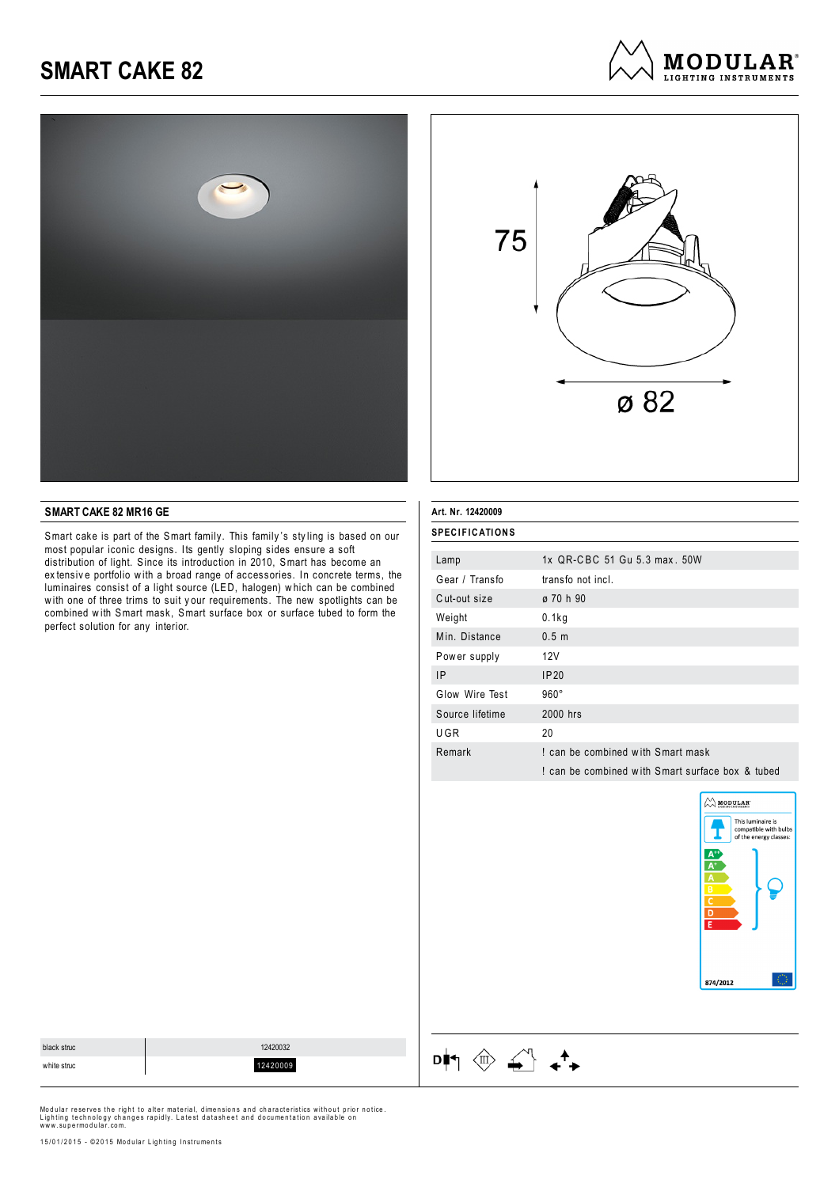





#### **SMART CAKE 82 MR16 GE**

Smart cake is part of the Smart family. This family 's sty ling is based on our most popular iconic designs. Its gently sloping sides ensure a soft distribution of light. Since its introduction in 2010, Smart has become an ex tensiv e portfolio w ith a broad range of accessories. In concrete terms, the luminaires consist of a light source (LED, halogen) w hich can be combined w ith one of three trims to suit y our requirements. The new spotlights can be combined w ith Smart mask, Smart surface box or surface tubed to form the perfect solution for any interior.

| Art. Nr. 12420009     |                                                  |
|-----------------------|--------------------------------------------------|
| <b>SPECIFICATIONS</b> |                                                  |
| Lamp                  | 1x QR-CBC 51 Gu 5.3 max. 50W                     |
| Gear / Transfo        | transfo not incl.                                |
| Cut-out size          | ø 70 h 90                                        |
| Weight                | 0.1kg                                            |
| Min. Distance         | 0.5 <sub>m</sub>                                 |
| Power supply          | 12V                                              |
| ΙP                    | IP20                                             |
| Glow Wire Test        | $960^\circ$                                      |
| Source lifetime       | 2000 hrs                                         |
| UGR                   | 20                                               |
| Remark                | I can be combined with Smart mask                |
|                       | I can be combined with Smart surface box & tubed |
|                       |                                                  |



| black struc | 12420032 |
|-------------|----------|
| white struc | 12420009 |

Modular reserves the right to alter material, dimensions and characteristics without prior notice.

 $\begin{picture}(180,10) \put(0,0){\line(1,0){10}} \put(10,0){\line(1,0){10}} \put(10,0){\line(1,0){10}} \put(10,0){\line(1,0){10}} \put(10,0){\line(1,0){10}} \put(10,0){\line(1,0){10}} \put(10,0){\line(1,0){10}} \put(10,0){\line(1,0){10}} \put(10,0){\line(1,0){10}} \put(10,0){\line(1,0){10}} \put(10,0){\line(1,0){10}} \put(10,0){\line($ 

Lighting technology changes rapidly. Latest datasheet and documentation available on<br>www.supermodular.com.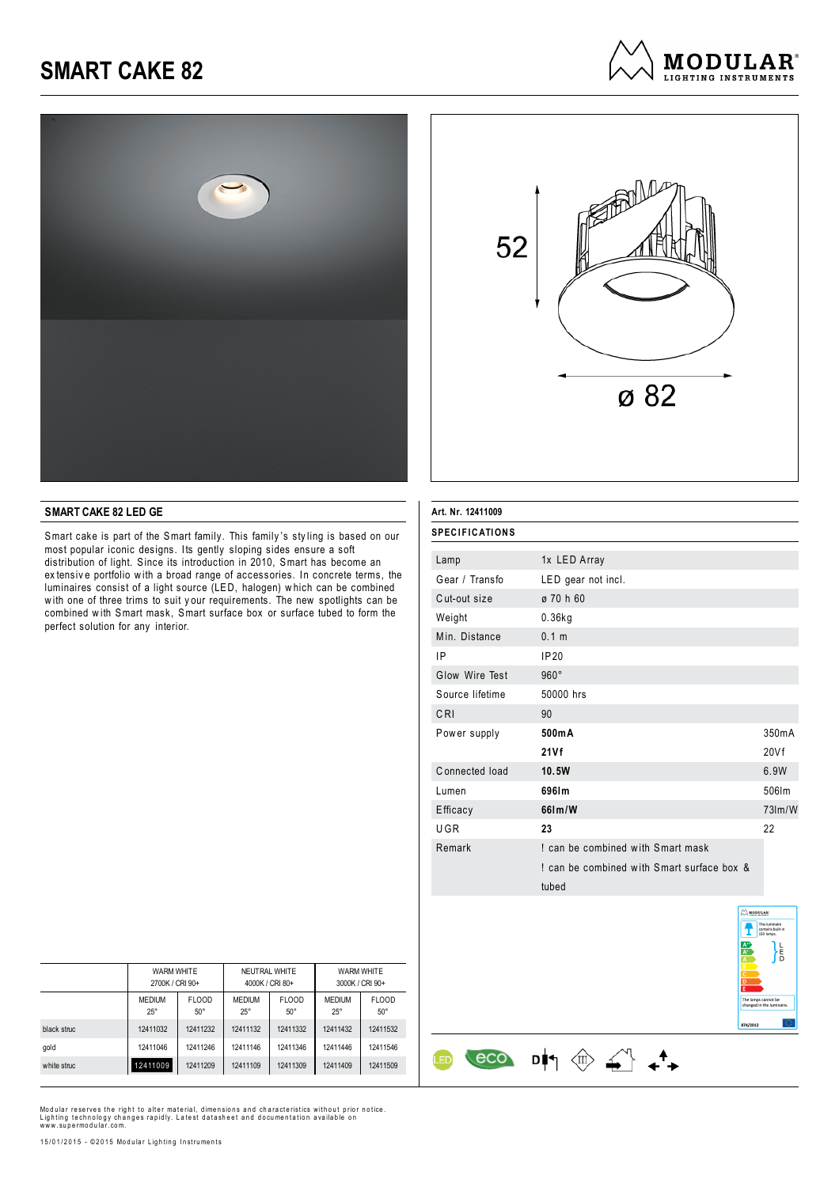



#### **SMART CAKE 82 LED GE**

Smart cake is part of the Smart family. This family 's sty ling is based on our most popular iconic designs. Its gently sloping sides ensure a soft distribution of light. Since its introduction in 2010, Smart has become an ex tensiv e portfolio w ith a broad range of accessories. In concrete terms, the luminaires consist of a light source (LED, halogen) w hich can be combined w ith one of three trims to suit y our requirements. The new spotlights can be combined w ith Smart mask, Smart surface box or surface tubed to form the perfect solution for any interior.

| <b>SPECIFICATIONS</b> |                                                     |          |
|-----------------------|-----------------------------------------------------|----------|
| Lamp                  | 1x LED Array                                        |          |
| Gear / Transfo        | LED gear not incl.                                  |          |
| Cut-out size          | ø 70 h 60                                           |          |
| Weight                | $0.36$ kg                                           |          |
| Min. Distance         | 0.1 m                                               |          |
| ΙP                    | IP20                                                |          |
| Glow Wire Test        | $960^\circ$                                         |          |
| Source lifetime       | 50000 hrs                                           |          |
| CRI                   | 90                                                  |          |
| Power supply          | 500mA                                               | 350mA    |
|                       | 21Vf                                                | 20Vf     |
| Connected load        | 10.5W                                               | 6.9W     |
| Lumen                 | 6961m                                               | 506lm    |
| Efficacy              | 661m/W                                              | $73$ m/W |
| UGR                   | 23                                                  | 22       |
| Remark                | I can be combined with Smart mask                   |          |
|                       | I can be combined with Smart surface box &<br>tubed |          |

 $\begin{array}{ccc} & & & \\ \hline & & & \\ \hline & & & \\ \hline & & & \\ \hline & & & \\ \hline & & & \\ \hline & & & \\ \hline & & & \\ \hline & & & \\ \hline & & & \\ \hline & & & \\ \hline & & & \\ \hline & & & \\ \hline & & & \\ \hline & & & \\ \hline & & & \\ \hline & & & \\ \hline & & & \\ \hline & & & \\ \hline & & & \\ \hline & & & & \\ \hline & & & & \\ \hline & & & & \\ \hline & & & & \\ \hline & & & & \\ \hline & & & & \\ \hline & & & & \\ \hline & & & & \\ \hline & & & & \\ \hline &$ 

<u>ED</u>



|             | <b>WARM WHITE</b><br>2700K / CRI 90+ |                              | NEUTRAL WHITE<br>4000K / CRI 80+ |                            | <b>WARM WHITE</b><br>3000K / CRI 90+ |                            |
|-------------|--------------------------------------|------------------------------|----------------------------------|----------------------------|--------------------------------------|----------------------------|
|             | <b>MEDIUM</b><br>$25^\circ$          | <b>FLOOD</b><br>$50^{\circ}$ | <b>MEDIUM</b><br>$25^{\circ}$    | <b>FLOOD</b><br>$50^\circ$ | <b>MEDIUM</b><br>$25^\circ$          | <b>FLOOD</b><br>$50^\circ$ |
| black struc | 12411032                             | 12411232                     | 12411132                         | 12411332                   | 12411432                             | 12411532                   |
| gold        | 12411046                             | 12411246                     | 12411146                         | 12411346                   | 12411446                             | 12411546                   |
| white struc | 12411009                             | 12411209                     | 12411109                         | 12411309                   | 12411409                             | 12411509                   |

Modular reserves the right to alter material, dimensions and characteristics without prior notice.<br>Lighting technology changes rapidly. Latest datasheet and documentation available on<br>www.supermodular.com.

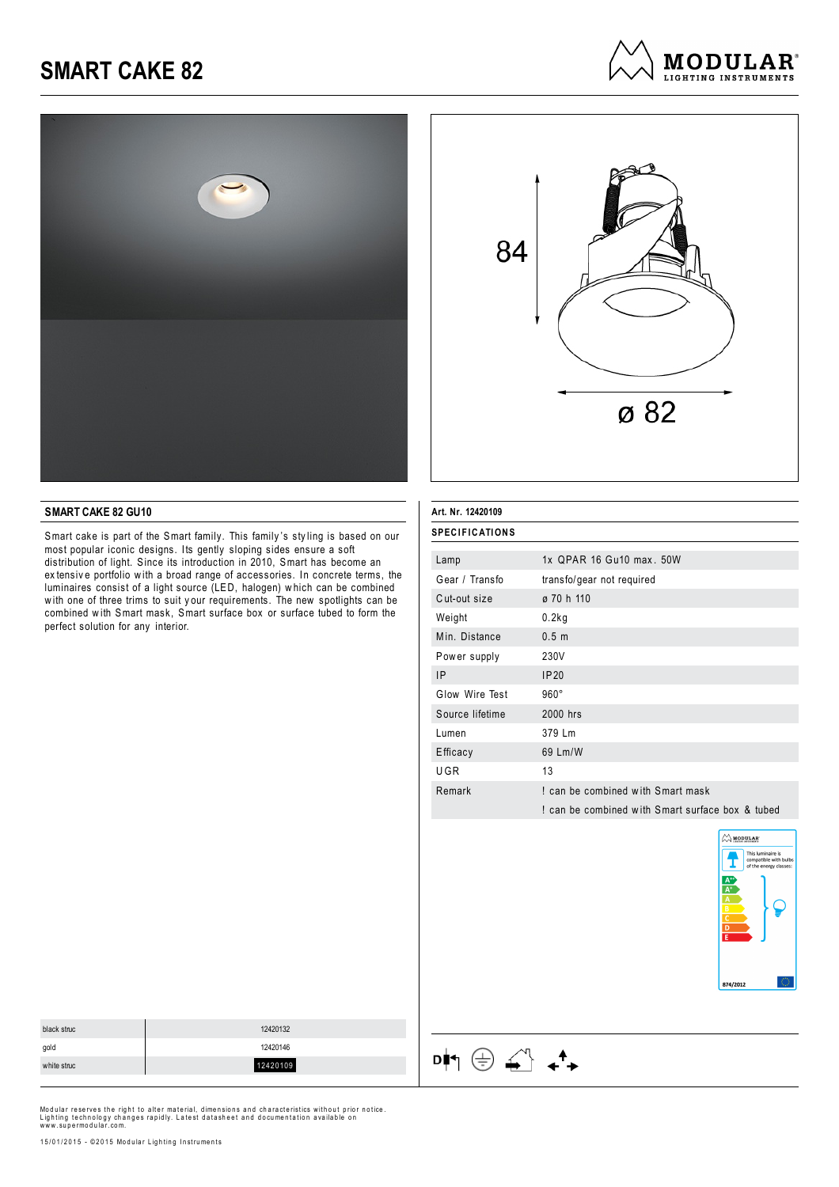



**MODULAR**<sup>®</sup> LIGHTING INSTRIIMENTS

#### **SMART CAKE 82 GU10**

Smart cake is part of the Smart family. This family 's sty ling is based on our most popular iconic designs. Its gently sloping sides ensure a soft distribution of light. Since its introduction in 2010, Smart has become an ex tensiv e portfolio w ith a broad range of accessories. In concrete terms, the luminaires consist of a light source (LED, halogen) w hich can be combined w ith one of three trims to suit y our requirements. The new spotlights can be combined w ith Smart mask, Smart surface box or surface tubed to form the perfect solution for any interior.

| <b>SPECIFICATIONS</b> |                                                  |
|-----------------------|--------------------------------------------------|
| Lamp                  | 1x OPAR 16 Gu10 max. 50W                         |
| Gear / Transfo        | transfo/gear not required                        |
| Cut-out size          | ø 70 h 110                                       |
| Weight                | 0.2kg                                            |
| Min. Distance         | 0.5 <sub>m</sub>                                 |
| Power supply          | 230V                                             |
| 1P                    | IP20                                             |
| Glow Wire Test        | $960^\circ$                                      |
| Source lifetime       | 2000 hrs                                         |
| Lumen                 | 379 Lm                                           |
| Efficacy              | 69 Lm/W                                          |
| UGR                   | 13                                               |
| Remark                | ! can be combined with Smart mask                |
|                       | ! can be combined with Smart surface box & tubed |
|                       |                                                  |

 $\mathsf{D} \biguplus \bigoplus \bigoplus \bigoplus \mathsf{A} \biguplus \mathsf{A}^\blacktriangle$ 



| black struc | 12420132 |
|-------------|----------|
| gold        | 12420146 |
| white struc | 12420109 |
|             |          |

Modular reserves the right to alter material, dimensions and characteristics without prior notice.<br>Lighting technology changes rapidly. Latest datasheet and documentation available on<br>www.supermodular.com.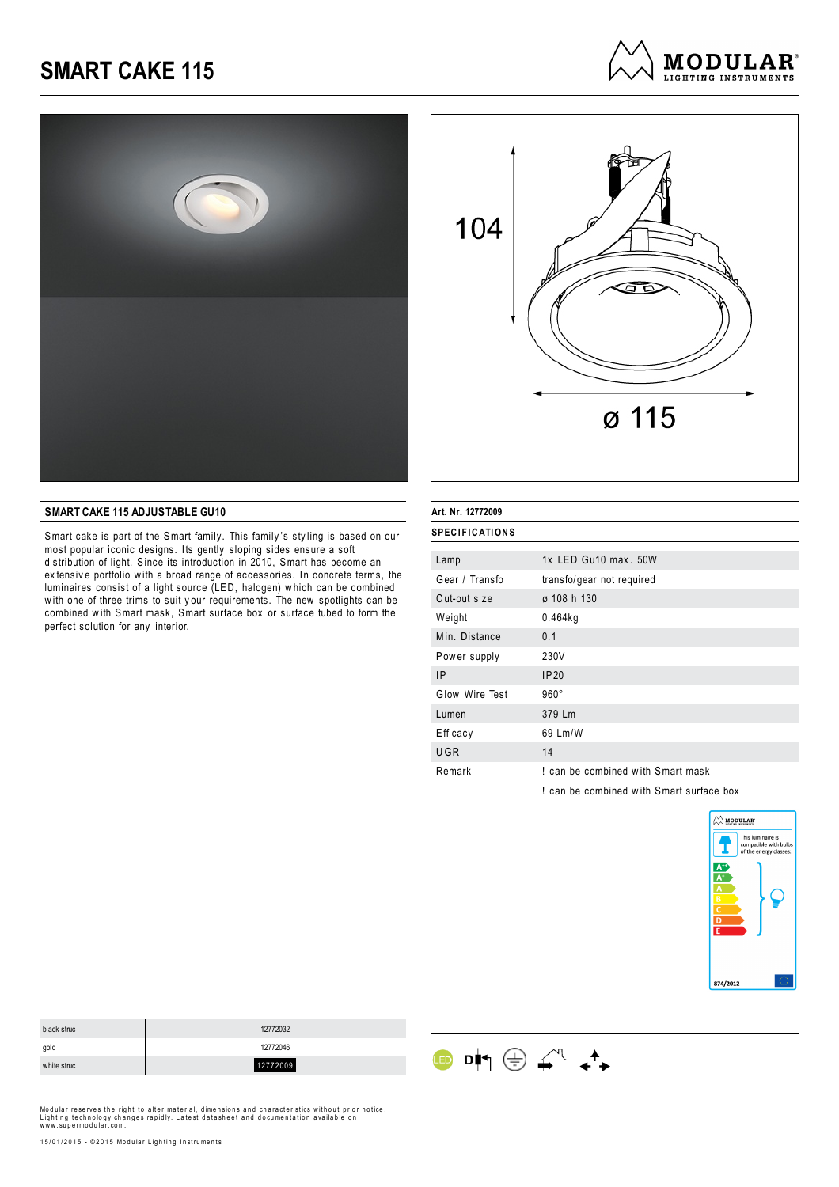





#### **SMART CAKE 115 ADJUSTABLE GU10**

Smart cake is part of the Smart family. This family 's sty ling is based on our most popular iconic designs. Its gently sloping sides ensure a soft distribution of light. Since its introduction in 2010, Smart has become an ex tensiv e portfolio w ith a broad range of accessories. In concrete terms, the luminaires consist of a light source (LED, halogen) w hich can be combined w ith one of three trims to suit y our requirements. The new spotlights can be combined w ith Smart mask, Smart surface box or surface tubed to form the perfect solution for any interior.

| Art. Nr. 12772009     |                                        |
|-----------------------|----------------------------------------|
| <b>SPECIFICATIONS</b> |                                        |
| Lamp                  | $1x$ LED Gu10 max, $50W$               |
| Gear / Transfo        | transfo/gear not required              |
| Cut-out size          | ø 108 h 130                            |
| Weight                | 0.464kg                                |
| Min. Distance         | 0.1                                    |
| Power supply          | 230V                                   |
| 1P                    | IP20                                   |
| Glow Wire Test        | $960^\circ$                            |
| Lumen                 | 379 Lm                                 |
| Efficacy              | 69 Lm/W                                |
| <b>UGR</b>            | 14                                     |
| Remark                | ! can be combined with Smart mask      |
|                       | can be combined with Smart surface box |

 $\begin{picture}(150,10) \put(0,0){\line(1,0){10}} \put(15,0){\line(1,0){10}} \put(15,0){\line(1,0){10}} \put(15,0){\line(1,0){10}} \put(15,0){\line(1,0){10}} \put(15,0){\line(1,0){10}} \put(15,0){\line(1,0){10}} \put(15,0){\line(1,0){10}} \put(15,0){\line(1,0){10}} \put(15,0){\line(1,0){10}} \put(15,0){\line(1,0){10}} \put(15,0){\line($ 



| black struc | 12772032 |
|-------------|----------|
| gold        | 12772046 |
| white struc | 12772009 |
|             |          |

Modular reserves the right to alter material, dimensions and characteristics without prior notice. Lighting technology changes rapidly. Latest datasheet and documentation available on<br>www.supermodular.com.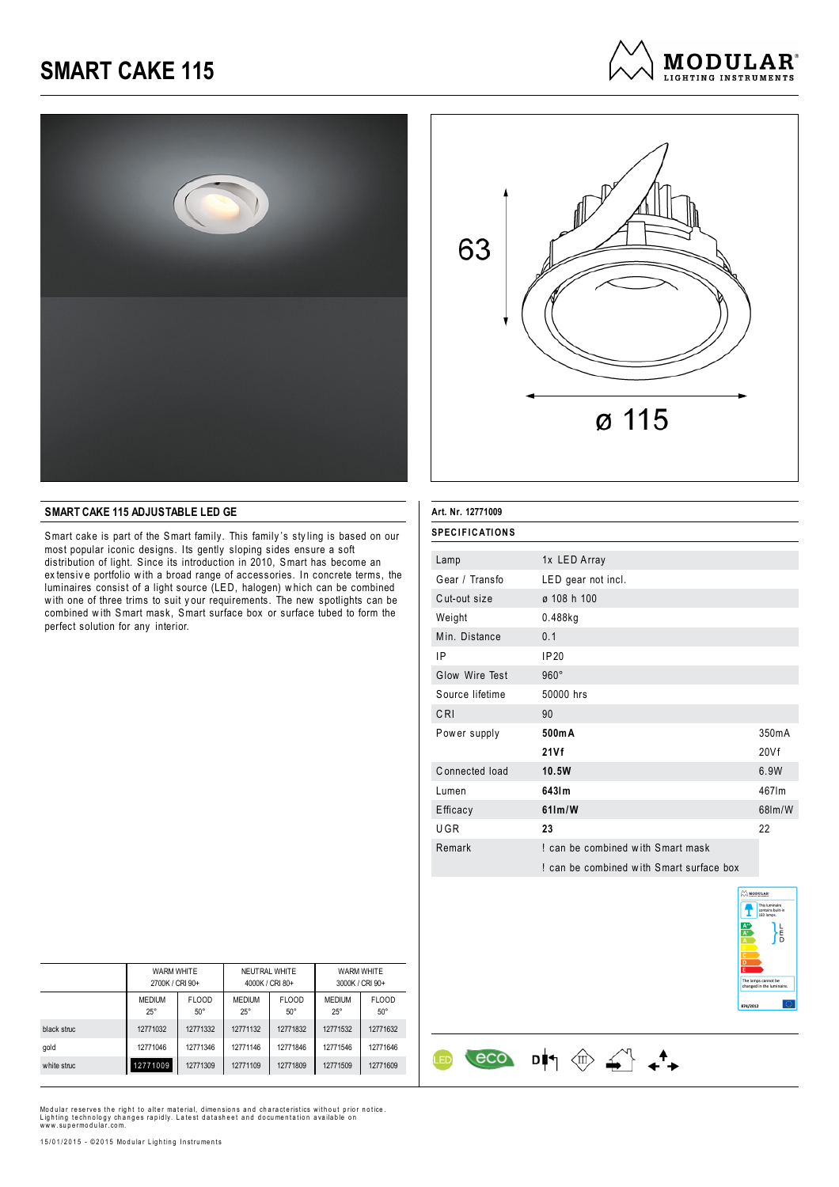





#### **SMART CAKE 115 ADJUSTABLE LED GE**

Smart cake is part of the Smart family. This family 's sty ling is based on our most popular iconic designs. Its gently sloping sides ensure a soft distribution of light. Since its introduction in 2010, Smart has become an ex tensiv e portfolio w ith a broad range of accessories. In concrete terms, the luminaires consist of a light source (LED, halogen) w hich can be combined w ith one of three trims to suit y our requirements. The new spotlights can be combined w ith Smart mask, Smart surface box or surface tubed to form the perfect solution for any interior.

| Art. Nr. 12771009     |                                          |        |
|-----------------------|------------------------------------------|--------|
| <b>SPECIFICATIONS</b> |                                          |        |
| Lamp                  | 1x LED Array                             |        |
| Gear / Transfo        | LED gear not incl.                       |        |
| Cut-out size          | ø 108 h 100                              |        |
| Weight                | $0.488$ kg                               |        |
| Min. Distance         | 0.1                                      |        |
| ΙP                    | IP20                                     |        |
| Glow Wire Test        | $960^\circ$                              |        |
| Source lifetime       | 50000 hrs                                |        |
| CRI                   | 90                                       |        |
| Power supply          | 500mA                                    | 350mA  |
|                       | 21Vf                                     | 20Vf   |
| Connected load        | 10.5W                                    | 6.9W   |
| Lumen                 | 6431m                                    | 467lm  |
| Efficacy              | $61$ lm/W                                | 68lm/W |
| UGR                   | 23                                       | 22     |
| Remark                | I can be combined with Smart mask        |        |
|                       | ! can be combined with Smart surface box |        |

 $\begin{array}{ccc} & & & \\ \hline & & & \\ \hline & & & \\ \hline & & & \\ \hline & & & \\ \hline & & & \\ \hline & & & \\ \hline & & & \\ \hline & & & \\ \hline & & & \\ \hline & & & \\ \hline & & & \\ \hline & & & \\ \hline & & & \\ \hline & & & \\ \hline & & & \\ \hline & & & \\ \hline & & & \\ \hline & & & \\ \hline & & & \\ \hline & & & & \\ \hline & & & & \\ \hline & & & & \\ \hline & & & & \\ \hline & & & & \\ \hline & & & & \\ \hline & & & & \\ \hline & & & & \\ \hline & & & & \\ \hline &$ 

**LED** 



|             | <b>WARM WHITE</b><br>2700K / CRI 90+ |                            | NEUTRAL WHITE<br>4000K / CRI 80+ |                            | WARM WHITE<br>3000K / CRI 90+ |                            |
|-------------|--------------------------------------|----------------------------|----------------------------------|----------------------------|-------------------------------|----------------------------|
|             | <b>MEDIUM</b><br>$25^{\circ}$        | <b>FLOOD</b><br>$50^\circ$ | <b>MEDIUM</b><br>$25^\circ$      | <b>FLOOD</b><br>$50^\circ$ | <b>MEDIUM</b><br>$25^{\circ}$ | <b>FLOOD</b><br>$50^\circ$ |
| black struc | 12771032                             | 12771332                   | 12771132                         | 12771832                   | 12771532                      | 12771632                   |
| gold        | 12771046                             | 12771346                   | 12771146                         | 12771846                   | 12771546                      | 12771646                   |
| white struc | 12771009                             | 12771309                   | 12771109                         | 12771809                   | 12771509                      | 12771609                   |

Modular reserves the right to alter material, dimensions and characteristics without prior notice.<br>Lighting technology changes rapidly. Latest datasheet and documentation available on<br>www.supermodular.com.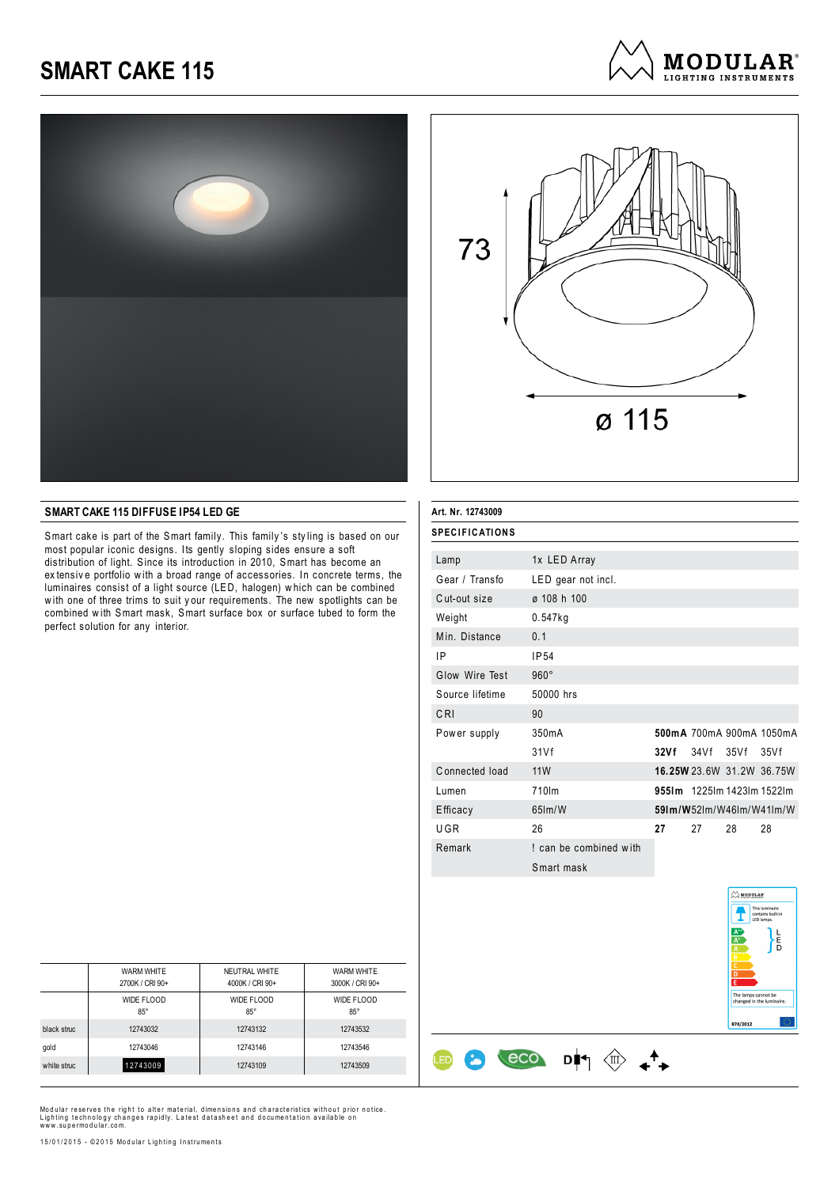





#### **SMART CAKE 115 DIFFUSE IP54 LED GE**

Smart cake is part of the Smart family. This family 's sty ling is based on our most popular iconic designs. Its gently sloping sides ensure a soft distribution of light. Since its introduction in 2010, Smart has become an ex tensiv e portfolio w ith a broad range of accessories. In concrete terms, the luminaires consist of a light source (LED, halogen) w hich can be combined w ith one of three trims to suit y our requirements. The new spotlights can be combined w ith Smart mask, Smart surface box or surface tubed to form the perfect solution for any interior.

| Art. Nr. 12743009     |                        |                                |
|-----------------------|------------------------|--------------------------------|
| <b>SPECIFICATIONS</b> |                        |                                |
| Lamp                  | 1x LED Array           |                                |
| Gear / Transfo        | LED gear not incl.     |                                |
| Cut-out size          | ø 108 h 100            |                                |
| Weight                | $0.547$ kg             |                                |
| Min. Distance         | 0.1                    |                                |
| ΙP                    | IP <sub>54</sub>       |                                |
| Glow Wire Test        | $960^\circ$            |                                |
| Source lifetime       | 50000 hrs              |                                |
| CRI                   | 90                     |                                |
| Power supply          | 350mA                  | 500mA 700mA 900mA 1050mA       |
|                       | 31Vf                   | 34 V f<br>32Vf<br>35Vf<br>35Vf |
| Connected load        | <b>11W</b>             | 16.25W 23.6W 31.2W 36.75W      |
| Lumen                 | 710lm                  | 9551m 12251m 14231m 15221m     |
| Efficacy              | $65$ $m/W$             | 591m/W521m/W461m/W411m/W       |
| UGR                   | 26                     | 27<br>27<br>28<br>28           |
| Remark                | ! can be combined with |                                |
|                       | Smart mask             |                                |

D┆┑*░* +

eco

ŒD

8



| <b>WARM WHITE</b> | NEUTRAL WHITE   | <b>WARM WHITE</b> |
|-------------------|-----------------|-------------------|
|                   |                 | 3000K / CRI 90+   |
| WIDE FLOOD        | WIDE FLOOD      | WIDE FLOOD        |
| $85^\circ$        | $85^\circ$      | $85^\circ$        |
| 12743032          | 12743132        | 12743532          |
| 12743046          | 12743146        | 12743546          |
| 12743009          | 12743109        | 12743509          |
|                   | 2700K / CRI 90+ | 4000K / CRI 90+   |

Modular reserves the right to alter material, dimensions and characteristics without prior notice.<br>Lighting technology changes rapidly. Latest datasheet and documentation available on<br>www.supermodular.com.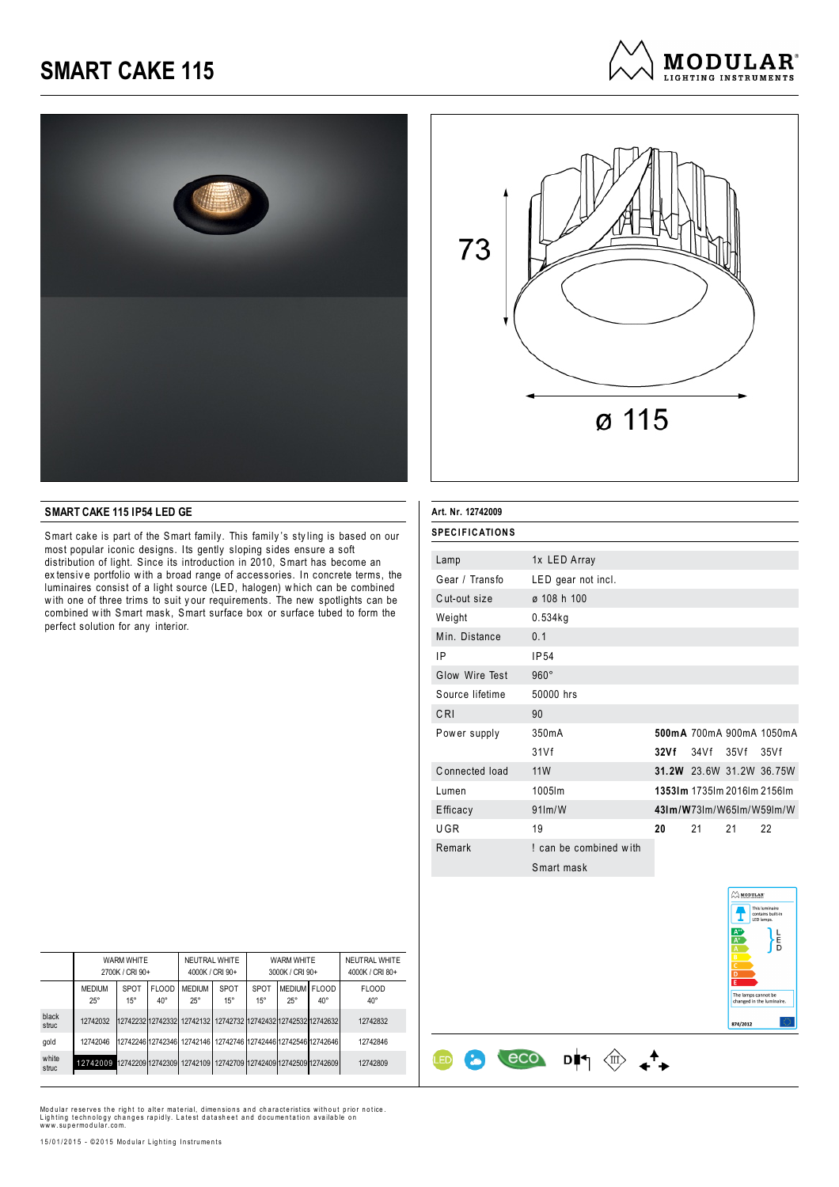





#### **SMART CAKE 115 IP54 LED GE**

Smart cake is part of the Smart family. This family 's sty ling is based on our most popular iconic designs. Its gently sloping sides ensure a soft distribution of light. Since its introduction in 2010, Smart has become an ex tensiv e portfolio w ith a broad range of accessories. In concrete terms, the luminaires consist of a light source (LED, halogen) w hich can be combined w ith one of three trims to suit y our requirements. The new spotlights can be combined w ith Smart mask, Smart surface box or surface tubed to form the perfect solution for any interior.

| Art. Nr. 12742009     |                        |      |                             |           |                          |
|-----------------------|------------------------|------|-----------------------------|-----------|--------------------------|
| <b>SPECIFICATIONS</b> |                        |      |                             |           |                          |
| Lamp                  | 1x LED Array           |      |                             |           |                          |
| Gear / Transfo        | LED gear not incl.     |      |                             |           |                          |
| Cut-out size          | ø 108 h 100            |      |                             |           |                          |
| Weight                | $0.534$ kg             |      |                             |           |                          |
| Min. Distance         | 0.1                    |      |                             |           |                          |
| ΙP                    | IP <sub>54</sub>       |      |                             |           |                          |
| Glow Wire Test        | $960^\circ$            |      |                             |           |                          |
| Source lifetime       | 50000 hrs              |      |                             |           |                          |
| CRI                   | 90                     |      |                             |           |                          |
| Power supply          | 350mA                  |      |                             |           | 500mA 700mA 900mA 1050mA |
|                       | 31Vf                   | 32Vf |                             | 34Vf 35Vf | 35Vf                     |
| Connected load        | <b>11W</b>             |      |                             |           | 31.2W 23.6W 31.2W 36.75W |
| Lumen                 | 1005lm                 |      | 13531m 1735lm 2016lm 2156lm |           |                          |
| Efficacy              | $91$ m/W               |      |                             |           | 431m/W73lm/W65lm/W59lm/W |
| UGR                   | 19                     | 20   | 21                          | 21        | 22                       |
| Remark                | ! can be combined with |      |                             |           |                          |
|                       | Smart mask             |      |                             |           |                          |

D┆┑*░* +

eco

**ED** 

8

 $\oslash$  MODULAR Ī

ء<br>5

mps cannot be<br>nd in the lumin

 $974/2012$ 

|                | <b>WARM WHITE</b><br>2700K / CRI 90+ |                             |                              | NEUTRAL WHITE<br>4000K / CRI 90+                               |                                     | WARM WHITE<br>3000K / CRI 90+ |                            |              | NEUTRAL WHITE<br>4000K / CRI 80+ |
|----------------|--------------------------------------|-----------------------------|------------------------------|----------------------------------------------------------------|-------------------------------------|-------------------------------|----------------------------|--------------|----------------------------------|
|                | <b>MEDIUM</b><br>$25^{\circ}$        | <b>SPOT</b><br>$15^{\circ}$ | <b>FLOOD</b><br>$40^{\circ}$ | <b>MEDIUM</b><br>$25^{\circ}$                                  | <b>SPOT</b><br>$15^{\circ}$         | SPOT<br>$15^{\circ}$          | MEDIUM FLOOD<br>$25^\circ$ | $40^{\circ}$ | <b>FLOOD</b><br>$40^{\circ}$     |
| black<br>struc | 12742032                             |                             |                              | 1274223212742332 12742132 12742732 12742432 12742532 12742632  |                                     |                               |                            |              | 12742832                         |
| gold           | 12742046                             |                             |                              | 12742246 12742346 12742146 12742746 12742446 12742546 12742646 |                                     |                               |                            |              | 12742846                         |
| white<br>struc | 12742009 12742209 12742309 12742109  |                             |                              |                                                                | 12742709 12742409 12742509 12742609 |                               |                            |              | 12742809                         |

Modular reserves the right to alter material, dimensions and characteristics without prior notice.<br>Lighting technology changes rapidly. Latest datasheet and documentation available on<br>www.supermodular.com.